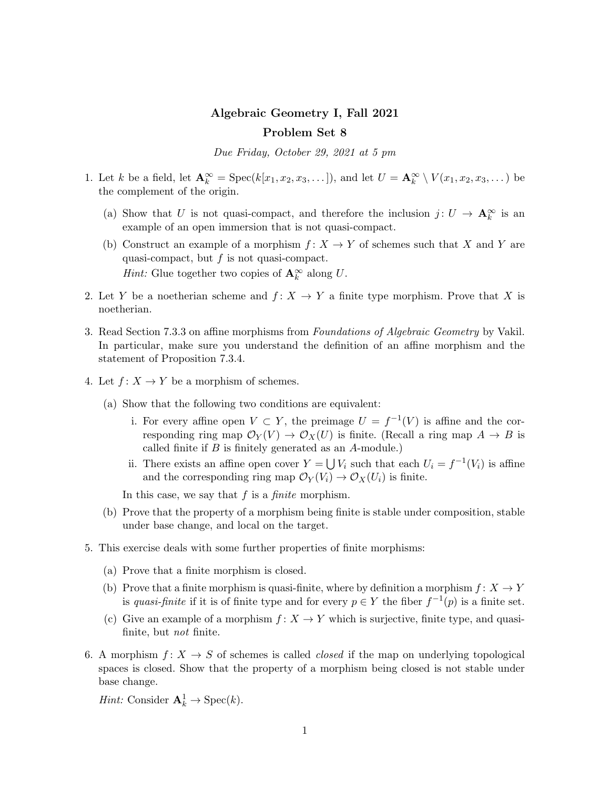## Algebraic Geometry I, Fall 2021 Problem Set 8

Due Friday, October 29, 2021 at 5 pm

- 1. Let k be a field, let  $\mathbf{A}_k^{\infty} = \text{Spec}(k[x_1, x_2, x_3, \dots]),$  and let  $U = \mathbf{A}_k^{\infty} \setminus V(x_1, x_2, x_3, \dots)$  be the complement of the origin.
	- (a) Show that U is not quasi-compact, and therefore the inclusion  $j: U \to \mathbf{A}_k^{\infty}$  is an example of an open immersion that is not quasi-compact.
	- (b) Construct an example of a morphism  $f: X \to Y$  of schemes such that X and Y are quasi-compact, but  $f$  is not quasi-compact. *Hint:* Glue together two copies of  $\mathbf{A}_{k}^{\infty}$  along U.
- 2. Let Y be a noetherian scheme and  $f: X \to Y$  a finite type morphism. Prove that X is noetherian.
- 3. Read Section 7.3.3 on affine morphisms from Foundations of Algebraic Geometry by Vakil. In particular, make sure you understand the definition of an affine morphism and the statement of Proposition 7.3.4.
- 4. Let  $f: X \to Y$  be a morphism of schemes.
	- (a) Show that the following two conditions are equivalent:
		- i. For every affine open  $V \subset Y$ , the preimage  $U = f^{-1}(V)$  is affine and the corresponding ring map  $\mathcal{O}_Y(V) \to \mathcal{O}_X(U)$  is finite. (Recall a ring map  $A \to B$  is called finite if  $B$  is finitely generated as an  $A$ -module.)
		- ii. There exists an affine open cover  $Y = \bigcup V_i$  such that each  $U_i = f^{-1}(V_i)$  is affine and the corresponding ring map  $\mathcal{O}_Y(V_i) \to \mathcal{O}_X(U_i)$  is finite.

In this case, we say that  $f$  is a *finite* morphism.

- (b) Prove that the property of a morphism being finite is stable under composition, stable under base change, and local on the target.
- 5. This exercise deals with some further properties of finite morphisms:
	- (a) Prove that a finite morphism is closed.
	- (b) Prove that a finite morphism is quasi-finite, where by definition a morphism  $f: X \to Y$ is quasi-finite if it is of finite type and for every  $p \in Y$  the fiber  $f^{-1}(p)$  is a finite set.
	- (c) Give an example of a morphism  $f: X \to Y$  which is surjective, finite type, and quasifinite, but not finite.
- 6. A morphism  $f: X \to S$  of schemes is called *closed* if the map on underlying topological spaces is closed. Show that the property of a morphism being closed is not stable under base change.

*Hint:* Consider  $\mathbf{A}_k^1 \to \text{Spec}(k)$ .